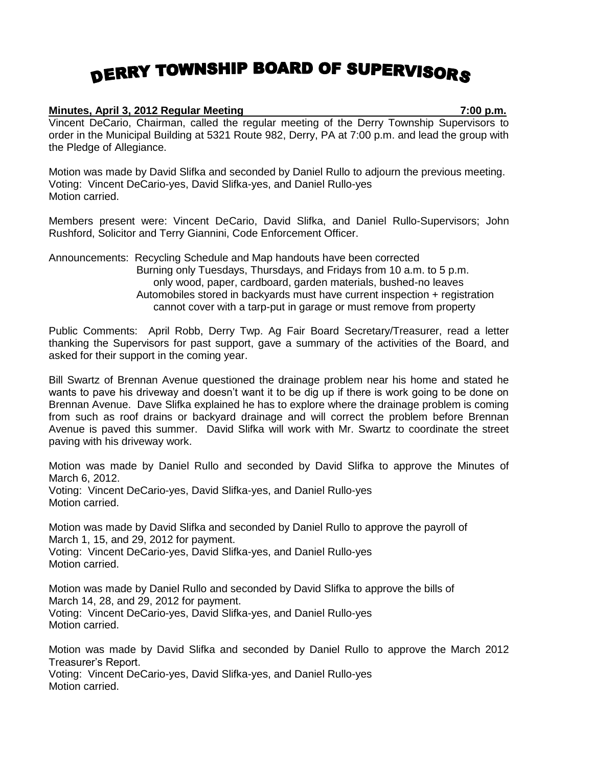## DERRY TOWNSHIP BOARD OF SUPERVISORS

## **Minutes, April 3, 2012 Regular Meeting 7:00 p.m.**

Vincent DeCario, Chairman, called the regular meeting of the Derry Township Supervisors to order in the Municipal Building at 5321 Route 982, Derry, PA at 7:00 p.m. and lead the group with the Pledge of Allegiance.

Motion was made by David Slifka and seconded by Daniel Rullo to adjourn the previous meeting. Voting: Vincent DeCario-yes, David Slifka-yes, and Daniel Rullo-yes Motion carried.

Members present were: Vincent DeCario, David Slifka, and Daniel Rullo-Supervisors; John Rushford, Solicitor and Terry Giannini, Code Enforcement Officer.

Announcements: Recycling Schedule and Map handouts have been corrected Burning only Tuesdays, Thursdays, and Fridays from 10 a.m. to 5 p.m. only wood, paper, cardboard, garden materials, bushed-no leaves Automobiles stored in backyards must have current inspection + registration cannot cover with a tarp-put in garage or must remove from property

Public Comments: April Robb, Derry Twp. Ag Fair Board Secretary/Treasurer, read a letter thanking the Supervisors for past support, gave a summary of the activities of the Board, and asked for their support in the coming year.

Bill Swartz of Brennan Avenue questioned the drainage problem near his home and stated he wants to pave his driveway and doesn't want it to be dig up if there is work going to be done on Brennan Avenue. Dave Slifka explained he has to explore where the drainage problem is coming from such as roof drains or backyard drainage and will correct the problem before Brennan Avenue is paved this summer. David Slifka will work with Mr. Swartz to coordinate the street paving with his driveway work.

Motion was made by Daniel Rullo and seconded by David Slifka to approve the Minutes of March 6, 2012. Voting: Vincent DeCario-yes, David Slifka-yes, and Daniel Rullo-yes Motion carried.

Motion was made by David Slifka and seconded by Daniel Rullo to approve the payroll of March 1, 15, and 29, 2012 for payment. Voting: Vincent DeCario-yes, David Slifka-yes, and Daniel Rullo-yes Motion carried.

Motion was made by Daniel Rullo and seconded by David Slifka to approve the bills of March 14, 28, and 29, 2012 for payment. Voting: Vincent DeCario-yes, David Slifka-yes, and Daniel Rullo-yes Motion carried.

Motion was made by David Slifka and seconded by Daniel Rullo to approve the March 2012 Treasurer's Report. Voting: Vincent DeCario-yes, David Slifka-yes, and Daniel Rullo-yes Motion carried.